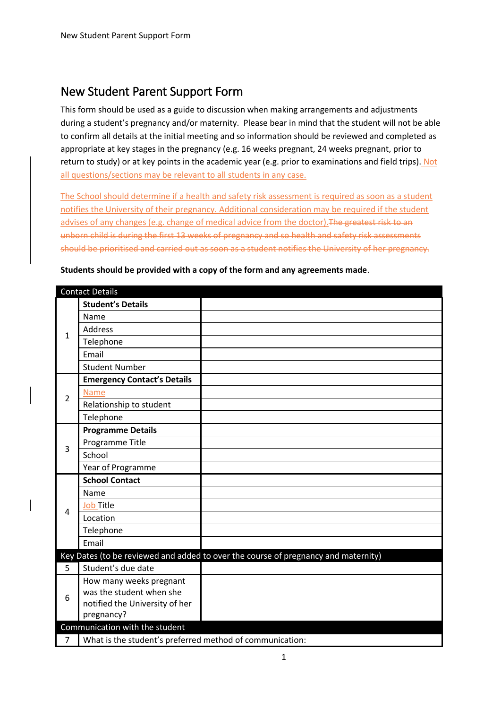# New Student Parent Support Form

This form should be used as a guide to discussion when making arrangements and adjustments during a student's pregnancy and/or maternity. Please bear in mind that the student will not be able to confirm all details at the initial meeting and so information should be reviewed and completed as appropriate at key stages in the pregnancy (e.g. 16 weeks pregnant, 24 weeks pregnant, prior to return to study) or at key points in the academic year (e.g. prior to examinations and field trips). Not all questions/sections may be relevant to all students in any case.

The School should determine if a health and safety risk assessment is required as soon as a student notifies the University of their pregnancy. Additional consideration may be required if the student advises of any changes (e.g. change of medical advice from the doctor). The greatest risk to an unborn child is during the first 13 weeks of pregnancy and so health and safety risk assessments should be prioritised and carried out as soon as a student notifies the University of her pregnancy.

|                | <b>Contact Details</b>                                   |                                                                                    |
|----------------|----------------------------------------------------------|------------------------------------------------------------------------------------|
|                | <b>Student's Details</b>                                 |                                                                                    |
|                | Name                                                     |                                                                                    |
| $\mathbf{1}$   | <b>Address</b>                                           |                                                                                    |
|                | Telephone                                                |                                                                                    |
|                | Email                                                    |                                                                                    |
|                | <b>Student Number</b>                                    |                                                                                    |
|                | <b>Emergency Contact's Details</b>                       |                                                                                    |
| $\overline{2}$ | <b>Name</b>                                              |                                                                                    |
|                | Relationship to student                                  |                                                                                    |
|                | Telephone                                                |                                                                                    |
|                | <b>Programme Details</b>                                 |                                                                                    |
| $\overline{3}$ | Programme Title                                          |                                                                                    |
|                | School                                                   |                                                                                    |
|                | Year of Programme                                        |                                                                                    |
|                | <b>School Contact</b>                                    |                                                                                    |
|                | Name                                                     |                                                                                    |
| $\overline{4}$ | <b>Job Title</b>                                         |                                                                                    |
|                | Location                                                 |                                                                                    |
|                | Telephone                                                |                                                                                    |
|                | Email                                                    |                                                                                    |
|                |                                                          | Key Dates (to be reviewed and added to over the course of pregnancy and maternity) |
| 5              | Student's due date                                       |                                                                                    |
|                | How many weeks pregnant                                  |                                                                                    |
| 6              | was the student when she                                 |                                                                                    |
|                | notified the University of her                           |                                                                                    |
|                | pregnancy?                                               |                                                                                    |
|                | Communication with the student                           |                                                                                    |
| $\overline{7}$ | What is the student's preferred method of communication: |                                                                                    |

**Students should be provided with a copy of the form and any agreements made**.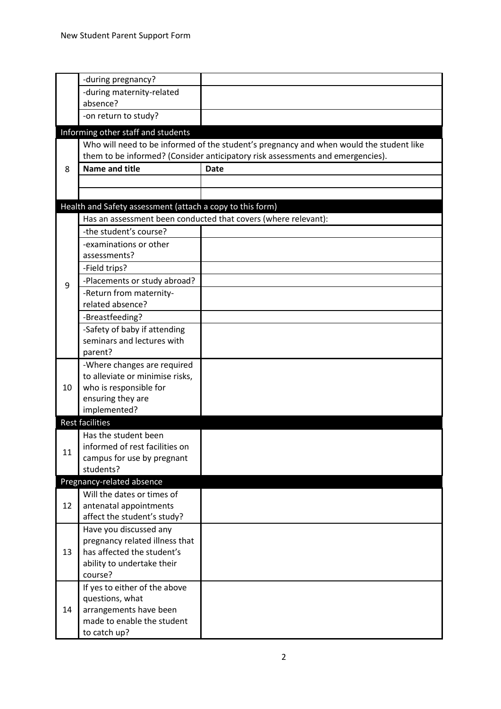|    | -during pregnancy?                                        |                                                                                         |
|----|-----------------------------------------------------------|-----------------------------------------------------------------------------------------|
|    | -during maternity-related                                 |                                                                                         |
|    | absence?                                                  |                                                                                         |
|    | -on return to study?                                      |                                                                                         |
|    | Informing other staff and students                        |                                                                                         |
|    |                                                           | Who will need to be informed of the student's pregnancy and when would the student like |
|    |                                                           | them to be informed? (Consider anticipatory risk assessments and emergencies).          |
| 8  | <b>Name and title</b>                                     | <b>Date</b>                                                                             |
|    |                                                           |                                                                                         |
|    |                                                           |                                                                                         |
|    |                                                           |                                                                                         |
|    | Health and Safety assessment (attach a copy to this form) |                                                                                         |
|    |                                                           | Has an assessment been conducted that covers (where relevant):                          |
|    | -the student's course?                                    |                                                                                         |
|    | -examinations or other                                    |                                                                                         |
|    | assessments?                                              |                                                                                         |
|    | -Field trips?                                             |                                                                                         |
| 9  | -Placements or study abroad?                              |                                                                                         |
|    | -Return from maternity-                                   |                                                                                         |
|    | related absence?                                          |                                                                                         |
|    | -Breastfeeding?                                           |                                                                                         |
|    | -Safety of baby if attending                              |                                                                                         |
|    | seminars and lectures with                                |                                                                                         |
|    | parent?                                                   |                                                                                         |
|    | -Where changes are required                               |                                                                                         |
|    | to alleviate or minimise risks,                           |                                                                                         |
| 10 | who is responsible for                                    |                                                                                         |
|    | ensuring they are                                         |                                                                                         |
|    | implemented?                                              |                                                                                         |
|    | <b>Rest facilities</b>                                    |                                                                                         |
|    | Has the student been                                      |                                                                                         |
|    | informed of rest facilities on                            |                                                                                         |
| 11 | campus for use by pregnant                                |                                                                                         |
|    | students?                                                 |                                                                                         |
|    | Pregnancy-related absence                                 |                                                                                         |
|    | Will the dates or times of                                |                                                                                         |
| 12 | antenatal appointments                                    |                                                                                         |
|    | affect the student's study?                               |                                                                                         |
|    | Have you discussed any                                    |                                                                                         |
|    | pregnancy related illness that                            |                                                                                         |
| 13 | has affected the student's                                |                                                                                         |
|    | ability to undertake their                                |                                                                                         |
|    | course?                                                   |                                                                                         |
|    | If yes to either of the above                             |                                                                                         |
|    | questions, what                                           |                                                                                         |
| 14 | arrangements have been                                    |                                                                                         |
|    | made to enable the student                                |                                                                                         |
|    | to catch up?                                              |                                                                                         |
|    |                                                           |                                                                                         |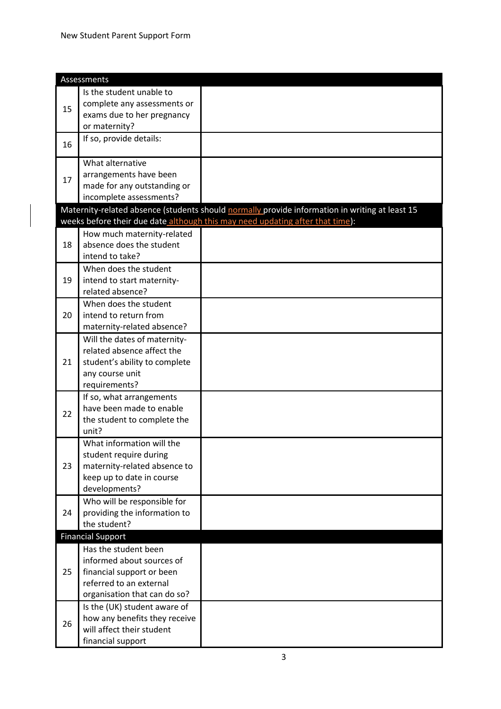|    | Assessments                                          |                                                                                                |
|----|------------------------------------------------------|------------------------------------------------------------------------------------------------|
|    | Is the student unable to                             |                                                                                                |
|    | complete any assessments or                          |                                                                                                |
| 15 | exams due to her pregnancy                           |                                                                                                |
|    | or maternity?                                        |                                                                                                |
|    | If so, provide details:                              |                                                                                                |
| 16 |                                                      |                                                                                                |
|    | What alternative                                     |                                                                                                |
| 17 | arrangements have been                               |                                                                                                |
|    | made for any outstanding or                          |                                                                                                |
|    | incomplete assessments?                              |                                                                                                |
|    |                                                      | Maternity-related absence (students should normally provide information in writing at least 15 |
|    |                                                      | weeks before their due date although this may need updating after that time):                  |
|    | How much maternity-related                           |                                                                                                |
| 18 | absence does the student                             |                                                                                                |
|    | intend to take?                                      |                                                                                                |
|    | When does the student                                |                                                                                                |
| 19 | intend to start maternity-                           |                                                                                                |
|    | related absence?                                     |                                                                                                |
|    | When does the student                                |                                                                                                |
| 20 | intend to return from                                |                                                                                                |
|    | maternity-related absence?                           |                                                                                                |
|    | Will the dates of maternity-                         |                                                                                                |
|    | related absence affect the                           |                                                                                                |
| 21 | student's ability to complete                        |                                                                                                |
|    | any course unit                                      |                                                                                                |
|    | requirements?                                        |                                                                                                |
|    | If so, what arrangements<br>have been made to enable |                                                                                                |
| 22 | the student to complete the                          |                                                                                                |
|    | unit?                                                |                                                                                                |
|    | What information will the                            |                                                                                                |
|    | student require during                               |                                                                                                |
| 23 | maternity-related absence to                         |                                                                                                |
|    | keep up to date in course                            |                                                                                                |
|    | developments?                                        |                                                                                                |
|    | Who will be responsible for                          |                                                                                                |
| 24 | providing the information to                         |                                                                                                |
|    | the student?                                         |                                                                                                |
|    | <b>Financial Support</b>                             |                                                                                                |
|    | Has the student been                                 |                                                                                                |
|    | informed about sources of                            |                                                                                                |
| 25 | financial support or been                            |                                                                                                |
|    | referred to an external                              |                                                                                                |
|    | organisation that can do so?                         |                                                                                                |
|    | Is the (UK) student aware of                         |                                                                                                |
| 26 | how any benefits they receive                        |                                                                                                |
|    | will affect their student                            |                                                                                                |
|    | financial support                                    |                                                                                                |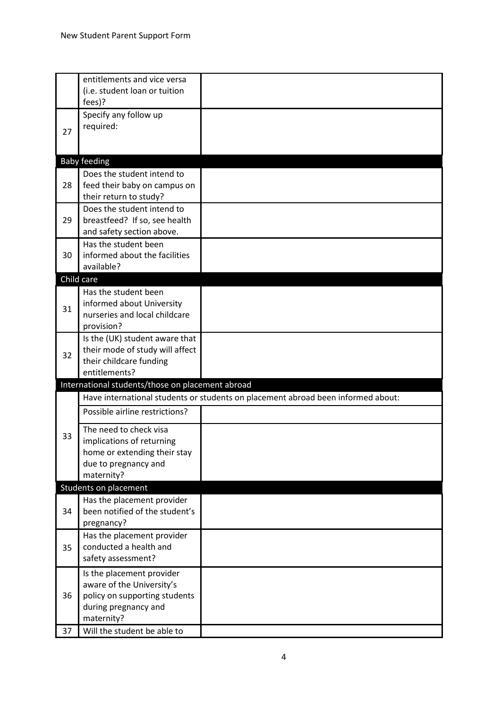|    | entitlements and vice versa<br>(i.e. student loan or tuition<br>fees)?                                                        |                                                                                  |
|----|-------------------------------------------------------------------------------------------------------------------------------|----------------------------------------------------------------------------------|
|    | Specify any follow up                                                                                                         |                                                                                  |
| 27 | required:                                                                                                                     |                                                                                  |
|    | <b>Baby feeding</b>                                                                                                           |                                                                                  |
| 28 | Does the student intend to<br>feed their baby on campus on<br>their return to study?                                          |                                                                                  |
| 29 | Does the student intend to<br>breastfeed? If so, see health<br>and safety section above.                                      |                                                                                  |
| 30 | Has the student been<br>informed about the facilities<br>available?                                                           |                                                                                  |
|    | Child care                                                                                                                    |                                                                                  |
| 31 | Has the student been<br>informed about University<br>nurseries and local childcare<br>provision?                              |                                                                                  |
| 32 | Is the (UK) student aware that<br>their mode of study will affect<br>their childcare funding<br>entitlements?                 |                                                                                  |
|    | International students/those on placement abroad                                                                              |                                                                                  |
|    |                                                                                                                               | Have international students or students on placement abroad been informed about: |
|    | Possible airline restrictions?                                                                                                |                                                                                  |
| 33 | The need to check visa<br>implications of returning<br>home or extending their stay<br>due to pregnancy and<br>maternity?     |                                                                                  |
|    | Students on placement                                                                                                         |                                                                                  |
| 34 | Has the placement provider<br>been notified of the student's<br>pregnancy?                                                    |                                                                                  |
| 35 | Has the placement provider<br>conducted a health and<br>safety assessment?                                                    |                                                                                  |
| 36 | Is the placement provider<br>aware of the University's<br>policy on supporting students<br>during pregnancy and<br>maternity? |                                                                                  |
| 37 | Will the student be able to                                                                                                   |                                                                                  |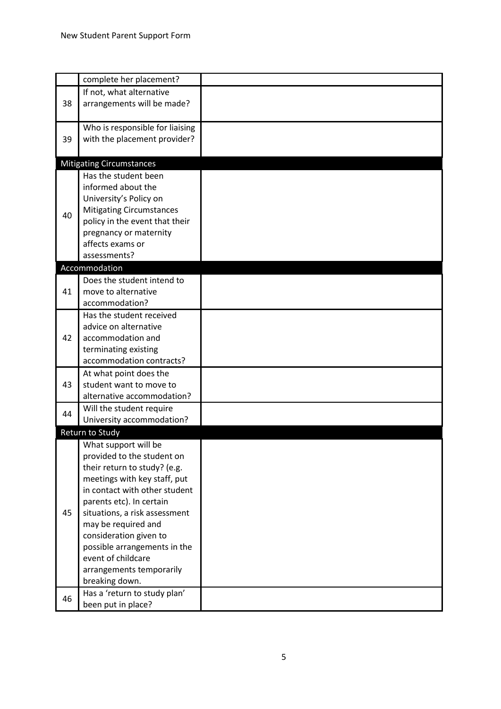|    | complete her placement?         |  |
|----|---------------------------------|--|
|    | If not, what alternative        |  |
| 38 | arrangements will be made?      |  |
|    |                                 |  |
|    | Who is responsible for liaising |  |
| 39 | with the placement provider?    |  |
|    |                                 |  |
|    | <b>Mitigating Circumstances</b> |  |
|    | Has the student been            |  |
|    | informed about the              |  |
|    | University's Policy on          |  |
|    | <b>Mitigating Circumstances</b> |  |
| 40 | policy in the event that their  |  |
|    | pregnancy or maternity          |  |
|    | affects exams or                |  |
|    | assessments?                    |  |
|    | Accommodation                   |  |
|    | Does the student intend to      |  |
| 41 | move to alternative             |  |
|    | accommodation?                  |  |
|    | Has the student received        |  |
|    | advice on alternative           |  |
| 42 | accommodation and               |  |
|    | terminating existing            |  |
|    | accommodation contracts?        |  |
|    | At what point does the          |  |
| 43 | student want to move to         |  |
|    | alternative accommodation?      |  |
|    | Will the student require        |  |
| 44 | University accommodation?       |  |
|    | Return to Study                 |  |
|    | What support will be            |  |
|    | provided to the student on      |  |
|    | their return to study? (e.g.    |  |
|    | meetings with key staff, put    |  |
|    | in contact with other student   |  |
|    | parents etc). In certain        |  |
| 45 | situations, a risk assessment   |  |
|    | may be required and             |  |
|    | consideration given to          |  |
|    | possible arrangements in the    |  |
|    | event of childcare              |  |
|    |                                 |  |
|    | arrangements temporarily        |  |
|    | breaking down.                  |  |
| 46 | Has a 'return to study plan'    |  |
|    | been put in place?              |  |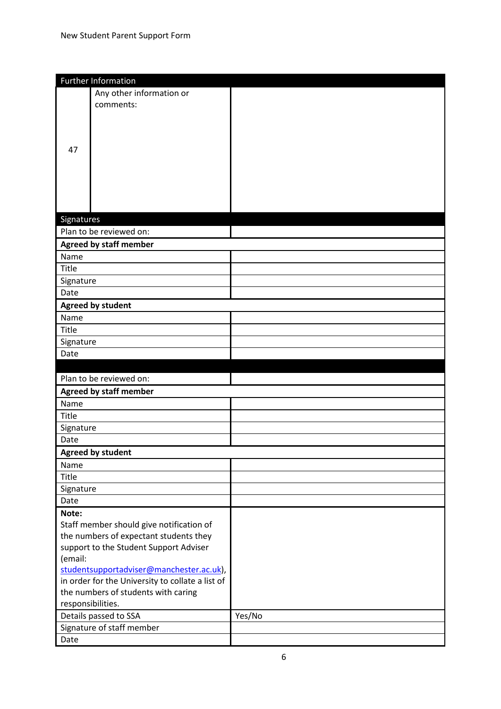|                   | <b>Further Information</b>                       |        |
|-------------------|--------------------------------------------------|--------|
|                   | Any other information or                         |        |
|                   | comments:                                        |        |
|                   |                                                  |        |
|                   |                                                  |        |
|                   |                                                  |        |
| 47                |                                                  |        |
|                   |                                                  |        |
|                   |                                                  |        |
|                   |                                                  |        |
|                   |                                                  |        |
|                   |                                                  |        |
| Signatures        |                                                  |        |
|                   | Plan to be reviewed on:                          |        |
|                   | <b>Agreed by staff member</b>                    |        |
| Name              |                                                  |        |
| Title             |                                                  |        |
| Signature         |                                                  |        |
| Date              |                                                  |        |
|                   | <b>Agreed by student</b>                         |        |
| Name              |                                                  |        |
| Title             |                                                  |        |
| Signature         |                                                  |        |
| Date              |                                                  |        |
|                   |                                                  |        |
|                   |                                                  |        |
|                   | Plan to be reviewed on:                          |        |
|                   | <b>Agreed by staff member</b>                    |        |
| Name              |                                                  |        |
| Title             |                                                  |        |
| Signature         |                                                  |        |
| Date              |                                                  |        |
|                   | <b>Agreed by student</b>                         |        |
| Name              |                                                  |        |
| Title             |                                                  |        |
| Signature         |                                                  |        |
| Date              |                                                  |        |
| Note:             |                                                  |        |
|                   | Staff member should give notification of         |        |
|                   | the numbers of expectant students they           |        |
|                   | support to the Student Support Adviser           |        |
| (email:           |                                                  |        |
|                   | studentsupportadviser@manchester.ac.uk),         |        |
|                   | in order for the University to collate a list of |        |
|                   | the numbers of students with caring              |        |
| responsibilities. |                                                  |        |
|                   | Details passed to SSA                            | Yes/No |
| Date              | Signature of staff member                        |        |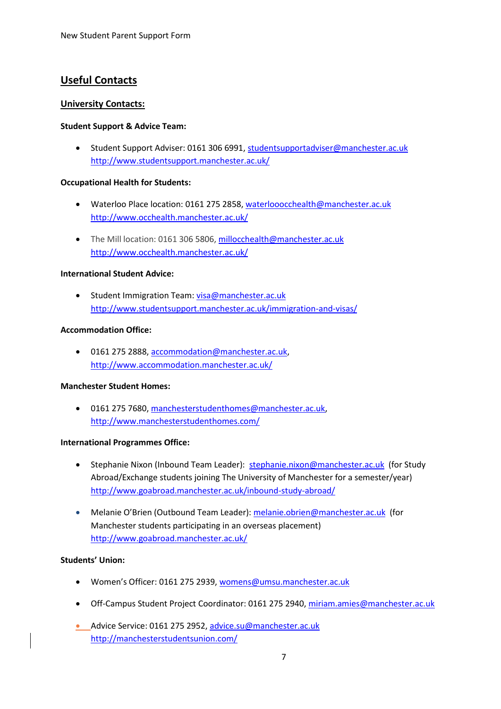# **Useful Contacts**

# **University Contacts:**

#### **Student Support & Advice Team:**

 Student Support Adviser: 0161 306 6991, [studentsupportadviser@manchester.ac.uk](mailto:studentsupportadviser@manchester.ac.uk) <http://www.studentsupport.manchester.ac.uk/>

# **Occupational Health for Students:**

- Waterloo Place location: 0161 275 2858, [waterlooocchealth@manchester.ac.uk](mailto:waterlooocchealth@manchester.ac.uk) <http://www.occhealth.manchester.ac.uk/>
- The Mill location: 0161 306 5806[, millocchealth@manchester.ac.uk](mailto:millocchealth@manchester.ac.uk) <http://www.occhealth.manchester.ac.uk/>

# **International Student Advice:**

• Student Immigration Team[: visa@manchester.ac.uk](mailto:visa@manchester.ac.uk) <http://www.studentsupport.manchester.ac.uk/immigration-and-visas/>

# **Accommodation Office:**

 0161 275 2888[, accommodation@manchester.ac.uk,](mailto:accommodation@manchester.ac.uk) <http://www.accommodation.manchester.ac.uk/>

#### **Manchester Student Homes:**

 0161 275 7680[, manchesterstudenthomes@manchester.ac.uk,](mailto:manchesterstudenthomes@manchester.ac.uk) <http://www.manchesterstudenthomes.com/>

#### **International Programmes Office:**

- Stephanie Nixon (Inbound Team Leader): [stephanie.nixon@manchester.ac.uk](mailto:stephanie.nixon@manchester.ac.uk) (for Study Abroad/Exchange students joining The University of Manchester for a semester/year) <http://www.goabroad.manchester.ac.uk/inbound-study-abroad/>
- Melanie O'Brien (Outbound Team Leader): [melanie.obrien@manchester.ac.uk](mailto:melanie.obrien@manchester.ac.uk) (for Manchester students participating in an overseas placement) <http://www.goabroad.manchester.ac.uk/>

#### **Students' Union:**

- Women's Officer: 0161 275 2939[, womens@umsu.manchester.ac.uk](mailto:womens@umsu.manchester.ac.uk)
- Off-Campus Student Project Coordinator: 0161 275 2940[, miriam.amies@manchester.ac.uk](mailto:miriam.amies@manchester.ac.uk)
- Advice Service: 0161 275 2952, [advice.su@manchester.ac.uk](mailto:advice.su@manchester.ac.uk) <http://manchesterstudentsunion.com/>